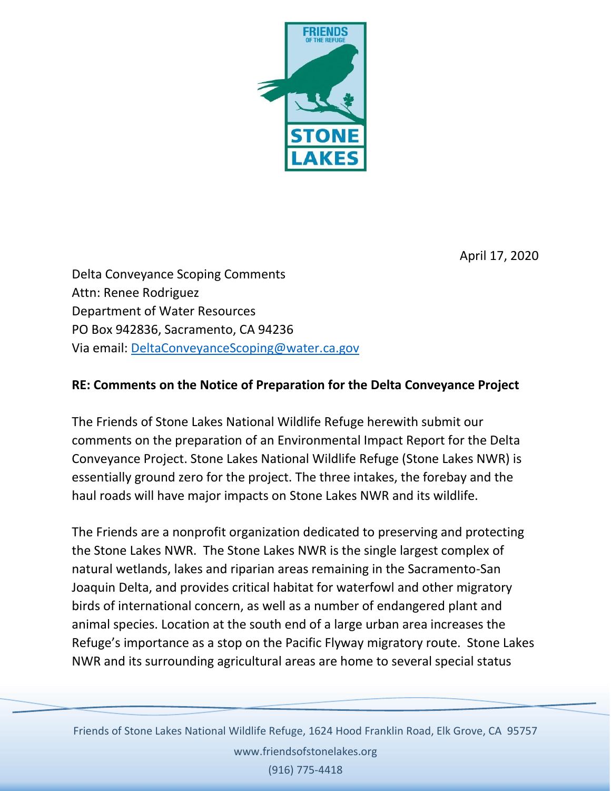

April 17, 2020

Delta Conveyance Scoping Comments Attn: Renee Rodriguez Department of Water Resources PO Box 942836, Sacramento, CA 94236 Via email: [DeltaConveyanceScoping@water.ca.gov](mailto:DeltaConveyanceScoping@water.ca.gov)

## **RE: Comments on the Notice of Preparation for the Delta Conveyance Project**

The Friends of Stone Lakes National Wildlife Refuge herewith submit our comments on the preparation of an Environmental Impact Report for the Delta Conveyance Project. Stone Lakes National Wildlife Refuge (Stone Lakes NWR) is essentially ground zero for the project. The three intakes, the forebay and the haul roads will have major impacts on Stone Lakes NWR and its wildlife.

The Friends are a nonprofit organization dedicated to preserving and protecting the Stone Lakes NWR. The Stone Lakes NWR is the single largest complex of natural wetlands, lakes and riparian areas remaining in the Sacramento-San Joaquin Delta, and provides critical habitat for waterfowl and other migratory birds of international concern, as well as a number of endangered plant and animal species. Location at the south end of a large urban area increases the Refuge's importance as a stop on the Pacific Flyway migratory route. Stone Lakes NWR and its surrounding agricultural areas are home to several special status

1 Friends of Stone Lakes National Wildlife Refuge, 1624 Hood Franklin Road, Elk Grove, CA 95757 www.friendsofstonelakes.org

(916) 775-4418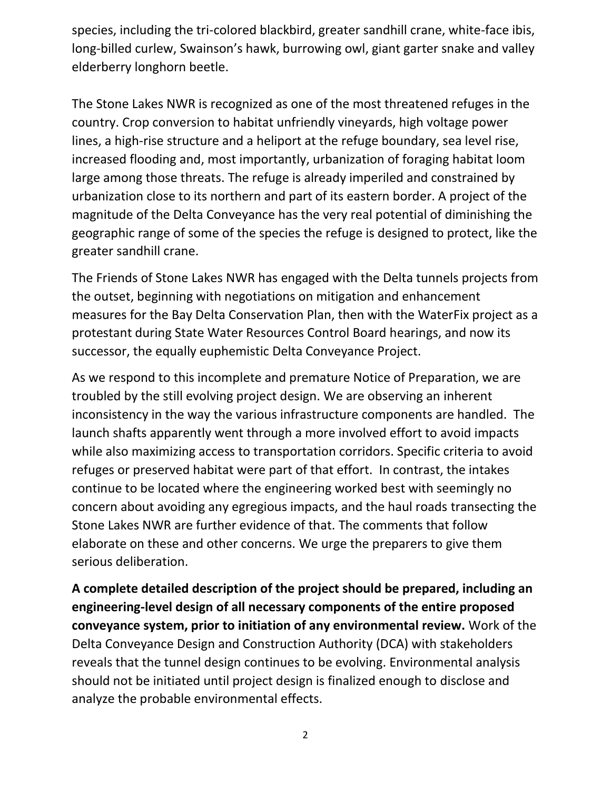species, including the tri-colored blackbird, greater sandhill crane, white-face ibis, long-billed curlew, Swainson's hawk, burrowing owl, giant garter snake and valley elderberry longhorn beetle.

The Stone Lakes NWR is recognized as one of the most threatened refuges in the country. Crop conversion to habitat unfriendly vineyards, high voltage power lines, a high-rise structure and a heliport at the refuge boundary, sea level rise, increased flooding and, most importantly, urbanization of foraging habitat loom large among those threats. The refuge is already imperiled and constrained by urbanization close to its northern and part of its eastern border. A project of the magnitude of the Delta Conveyance has the very real potential of diminishing the geographic range of some of the species the refuge is designed to protect, like the greater sandhill crane.

The Friends of Stone Lakes NWR has engaged with the Delta tunnels projects from the outset, beginning with negotiations on mitigation and enhancement measures for the Bay Delta Conservation Plan, then with the WaterFix project as a protestant during State Water Resources Control Board hearings, and now its successor, the equally euphemistic Delta Conveyance Project.

As we respond to this incomplete and premature Notice of Preparation, we are troubled by the still evolving project design. We are observing an inherent inconsistency in the way the various infrastructure components are handled. The launch shafts apparently went through a more involved effort to avoid impacts while also maximizing access to transportation corridors. Specific criteria to avoid refuges or preserved habitat were part of that effort. In contrast, the intakes continue to be located where the engineering worked best with seemingly no concern about avoiding any egregious impacts, and the haul roads transecting the Stone Lakes NWR are further evidence of that. The comments that follow elaborate on these and other concerns. We urge the preparers to give them serious deliberation.

**A complete detailed description of the project should be prepared, including an engineering-level design of all necessary components of the entire proposed conveyance system, prior to initiation of any environmental review.** Work of the Delta Conveyance Design and Construction Authority (DCA) with stakeholders reveals that the tunnel design continues to be evolving. Environmental analysis should not be initiated until project design is finalized enough to disclose and analyze the probable environmental effects.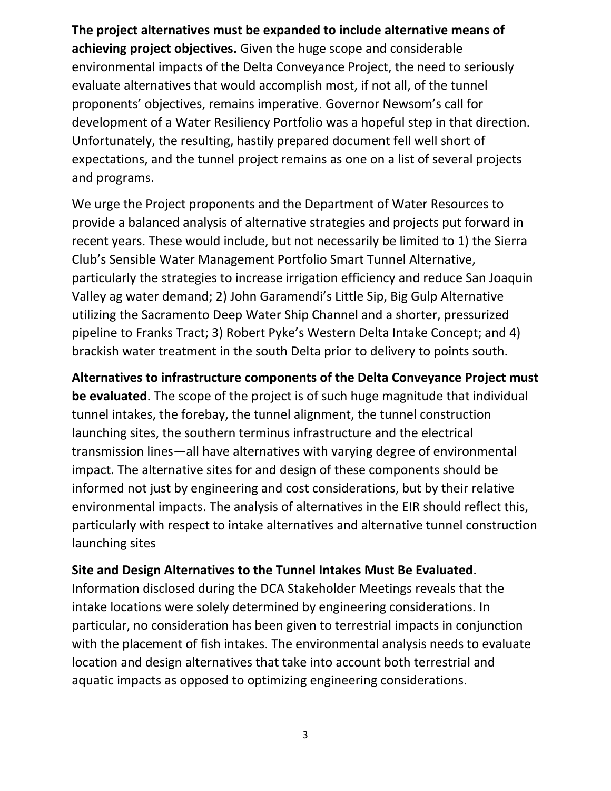**The project alternatives must be expanded to include alternative means of achieving project objectives.** Given the huge scope and considerable environmental impacts of the Delta Conveyance Project, the need to seriously evaluate alternatives that would accomplish most, if not all, of the tunnel proponents' objectives, remains imperative. Governor Newsom's call for development of a Water Resiliency Portfolio was a hopeful step in that direction. Unfortunately, the resulting, hastily prepared document fell well short of expectations, and the tunnel project remains as one on a list of several projects and programs.

We urge the Project proponents and the Department of Water Resources to provide a balanced analysis of alternative strategies and projects put forward in recent years. These would include, but not necessarily be limited to 1) the Sierra Club's Sensible Water Management Portfolio Smart Tunnel Alternative, particularly the strategies to increase irrigation efficiency and reduce San Joaquin Valley ag water demand; 2) John Garamendi's Little Sip, Big Gulp Alternative utilizing the Sacramento Deep Water Ship Channel and a shorter, pressurized pipeline to Franks Tract; 3) Robert Pyke's Western Delta Intake Concept; and 4) brackish water treatment in the south Delta prior to delivery to points south.

**Alternatives to infrastructure components of the Delta Conveyance Project must be evaluated**. The scope of the project is of such huge magnitude that individual tunnel intakes, the forebay, the tunnel alignment, the tunnel construction launching sites, the southern terminus infrastructure and the electrical transmission lines—all have alternatives with varying degree of environmental impact. The alternative sites for and design of these components should be informed not just by engineering and cost considerations, but by their relative environmental impacts. The analysis of alternatives in the EIR should reflect this, particularly with respect to intake alternatives and alternative tunnel construction launching sites

### **Site and Design Alternatives to the Tunnel Intakes Must Be Evaluated**.

Information disclosed during the DCA Stakeholder Meetings reveals that the intake locations were solely determined by engineering considerations. In particular, no consideration has been given to terrestrial impacts in conjunction with the placement of fish intakes. The environmental analysis needs to evaluate location and design alternatives that take into account both terrestrial and aquatic impacts as opposed to optimizing engineering considerations.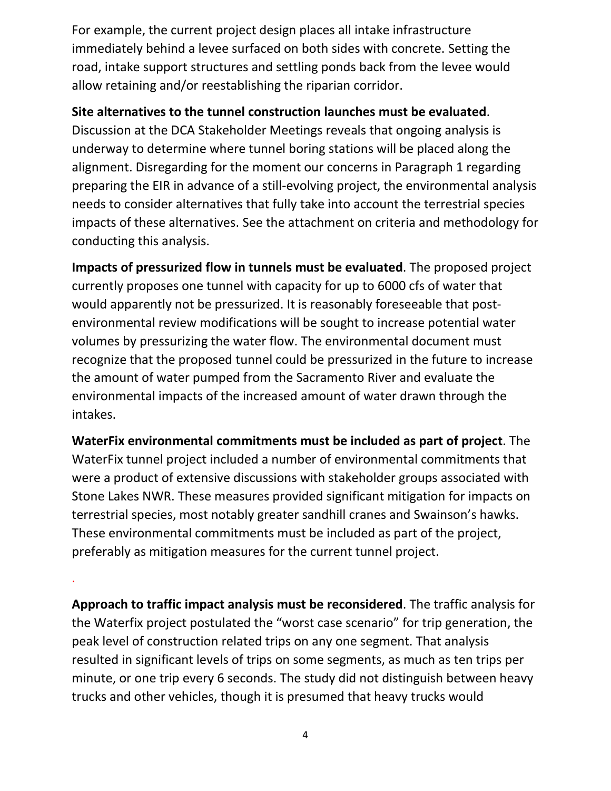For example, the current project design places all intake infrastructure immediately behind a levee surfaced on both sides with concrete. Setting the road, intake support structures and settling ponds back from the levee would allow retaining and/or reestablishing the riparian corridor.

# **Site alternatives to the tunnel construction launches must be evaluated**.

Discussion at the DCA Stakeholder Meetings reveals that ongoing analysis is underway to determine where tunnel boring stations will be placed along the alignment. Disregarding for the moment our concerns in Paragraph 1 regarding preparing the EIR in advance of a still-evolving project, the environmental analysis needs to consider alternatives that fully take into account the terrestrial species impacts of these alternatives. See the attachment on criteria and methodology for conducting this analysis.

**Impacts of pressurized flow in tunnels must be evaluated**. The proposed project currently proposes one tunnel with capacity for up to 6000 cfs of water that would apparently not be pressurized. It is reasonably foreseeable that postenvironmental review modifications will be sought to increase potential water volumes by pressurizing the water flow. The environmental document must recognize that the proposed tunnel could be pressurized in the future to increase the amount of water pumped from the Sacramento River and evaluate the environmental impacts of the increased amount of water drawn through the intakes.

**WaterFix environmental commitments must be included as part of project**. The WaterFix tunnel project included a number of environmental commitments that were a product of extensive discussions with stakeholder groups associated with Stone Lakes NWR. These measures provided significant mitigation for impacts on terrestrial species, most notably greater sandhill cranes and Swainson's hawks. These environmental commitments must be included as part of the project, preferably as mitigation measures for the current tunnel project.

**Approach to traffic impact analysis must be reconsidered**. The traffic analysis for the Waterfix project postulated the "worst case scenario" for trip generation, the peak level of construction related trips on any one segment. That analysis resulted in significant levels of trips on some segments, as much as ten trips per minute, or one trip every 6 seconds. The study did not distinguish between heavy trucks and other vehicles, though it is presumed that heavy trucks would

.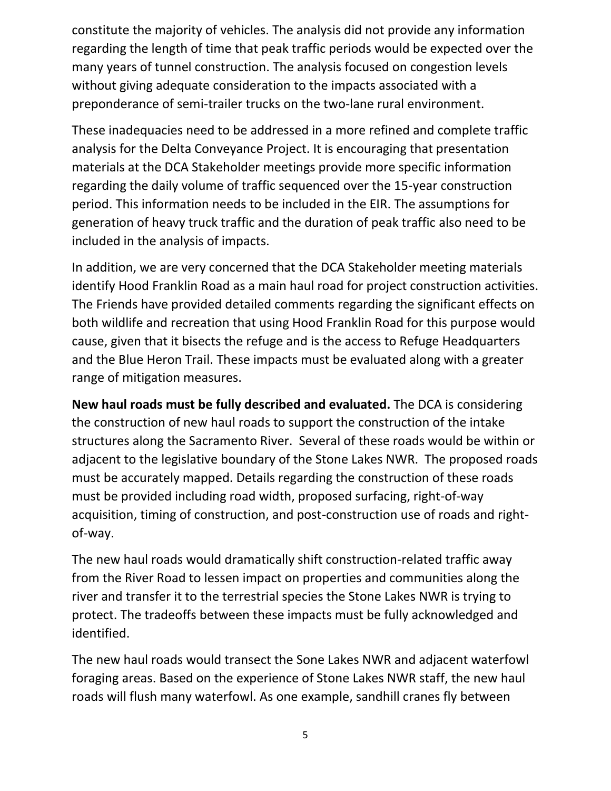constitute the majority of vehicles. The analysis did not provide any information regarding the length of time that peak traffic periods would be expected over the many years of tunnel construction. The analysis focused on congestion levels without giving adequate consideration to the impacts associated with a preponderance of semi-trailer trucks on the two-lane rural environment.

These inadequacies need to be addressed in a more refined and complete traffic analysis for the Delta Conveyance Project. It is encouraging that presentation materials at the DCA Stakeholder meetings provide more specific information regarding the daily volume of traffic sequenced over the 15-year construction period. This information needs to be included in the EIR. The assumptions for generation of heavy truck traffic and the duration of peak traffic also need to be included in the analysis of impacts.

In addition, we are very concerned that the DCA Stakeholder meeting materials identify Hood Franklin Road as a main haul road for project construction activities. The Friends have provided detailed comments regarding the significant effects on both wildlife and recreation that using Hood Franklin Road for this purpose would cause, given that it bisects the refuge and is the access to Refuge Headquarters and the Blue Heron Trail. These impacts must be evaluated along with a greater range of mitigation measures.

**New haul roads must be fully described and evaluated.** The DCA is considering the construction of new haul roads to support the construction of the intake structures along the Sacramento River. Several of these roads would be within or adjacent to the legislative boundary of the Stone Lakes NWR. The proposed roads must be accurately mapped. Details regarding the construction of these roads must be provided including road width, proposed surfacing, right-of-way acquisition, timing of construction, and post-construction use of roads and rightof-way.

The new haul roads would dramatically shift construction-related traffic away from the River Road to lessen impact on properties and communities along the river and transfer it to the terrestrial species the Stone Lakes NWR is trying to protect. The tradeoffs between these impacts must be fully acknowledged and identified.

The new haul roads would transect the Sone Lakes NWR and adjacent waterfowl foraging areas. Based on the experience of Stone Lakes NWR staff, the new haul roads will flush many waterfowl. As one example, sandhill cranes fly between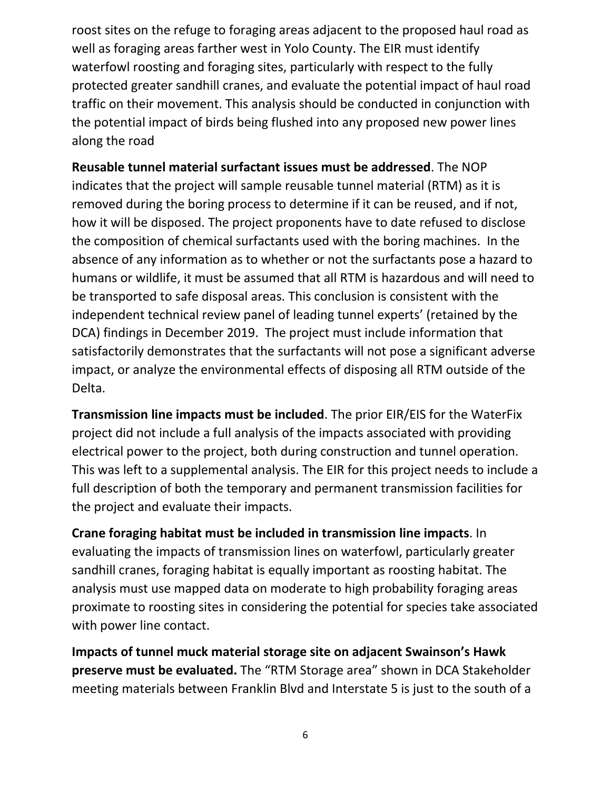roost sites on the refuge to foraging areas adjacent to the proposed haul road as well as foraging areas farther west in Yolo County. The EIR must identify waterfowl roosting and foraging sites, particularly with respect to the fully protected greater sandhill cranes, and evaluate the potential impact of haul road traffic on their movement. This analysis should be conducted in conjunction with the potential impact of birds being flushed into any proposed new power lines along the road

**Reusable tunnel material surfactant issues must be addressed**. The NOP indicates that the project will sample reusable tunnel material (RTM) as it is removed during the boring process to determine if it can be reused, and if not, how it will be disposed. The project proponents have to date refused to disclose the composition of chemical surfactants used with the boring machines. In the absence of any information as to whether or not the surfactants pose a hazard to humans or wildlife, it must be assumed that all RTM is hazardous and will need to be transported to safe disposal areas. This conclusion is consistent with the independent technical review panel of leading tunnel experts' (retained by the DCA) findings in December 2019. The project must include information that satisfactorily demonstrates that the surfactants will not pose a significant adverse impact, or analyze the environmental effects of disposing all RTM outside of the Delta.

**Transmission line impacts must be included**. The prior EIR/EIS for the WaterFix project did not include a full analysis of the impacts associated with providing electrical power to the project, both during construction and tunnel operation. This was left to a supplemental analysis. The EIR for this project needs to include a full description of both the temporary and permanent transmission facilities for the project and evaluate their impacts.

**Crane foraging habitat must be included in transmission line impacts**. In evaluating the impacts of transmission lines on waterfowl, particularly greater sandhill cranes, foraging habitat is equally important as roosting habitat. The analysis must use mapped data on moderate to high probability foraging areas proximate to roosting sites in considering the potential for species take associated with power line contact.

**Impacts of tunnel muck material storage site on adjacent Swainson's Hawk preserve must be evaluated.** The "RTM Storage area" shown in DCA Stakeholder meeting materials between Franklin Blvd and Interstate 5 is just to the south of a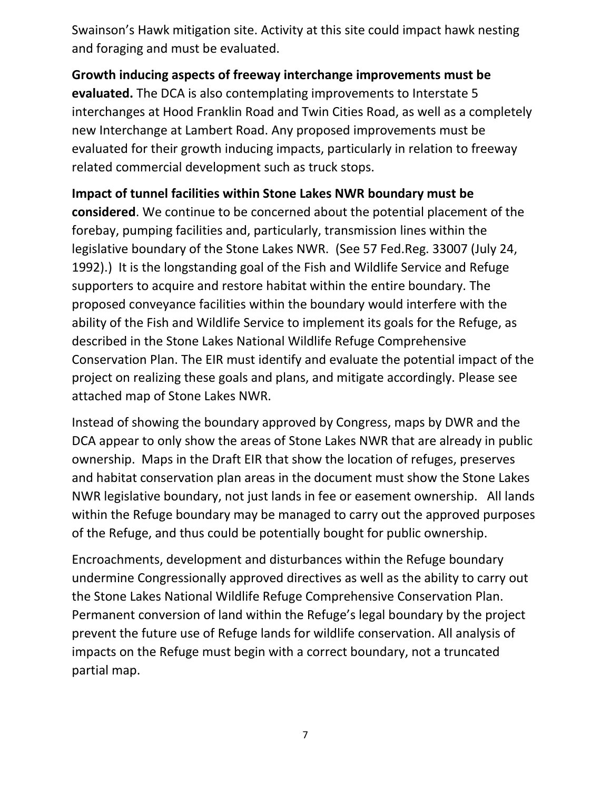Swainson's Hawk mitigation site. Activity at this site could impact hawk nesting and foraging and must be evaluated.

**Growth inducing aspects of freeway interchange improvements must be evaluated.** The DCA is also contemplating improvements to Interstate 5 interchanges at Hood Franklin Road and Twin Cities Road, as well as a completely new Interchange at Lambert Road. Any proposed improvements must be evaluated for their growth inducing impacts, particularly in relation to freeway related commercial development such as truck stops.

**Impact of tunnel facilities within Stone Lakes NWR boundary must be considered**. We continue to be concerned about the potential placement of the forebay, pumping facilities and, particularly, transmission lines within the legislative boundary of the Stone Lakes NWR. (See 57 Fed.Reg. 33007 (July 24, 1992).) It is the longstanding goal of the Fish and Wildlife Service and Refuge supporters to acquire and restore habitat within the entire boundary. The proposed conveyance facilities within the boundary would interfere with the ability of the Fish and Wildlife Service to implement its goals for the Refuge, as described in the Stone Lakes National Wildlife Refuge Comprehensive Conservation Plan. The EIR must identify and evaluate the potential impact of the project on realizing these goals and plans, and mitigate accordingly. Please see attached map of Stone Lakes NWR.

Instead of showing the boundary approved by Congress, maps by DWR and the DCA appear to only show the areas of Stone Lakes NWR that are already in public ownership. Maps in the Draft EIR that show the location of refuges, preserves and habitat conservation plan areas in the document must show the Stone Lakes NWR legislative boundary, not just lands in fee or easement ownership. All lands within the Refuge boundary may be managed to carry out the approved purposes of the Refuge, and thus could be potentially bought for public ownership.

Encroachments, development and disturbances within the Refuge boundary undermine Congressionally approved directives as well as the ability to carry out the Stone Lakes National Wildlife Refuge Comprehensive Conservation Plan. Permanent conversion of land within the Refuge's legal boundary by the project prevent the future use of Refuge lands for wildlife conservation. All analysis of impacts on the Refuge must begin with a correct boundary, not a truncated partial map.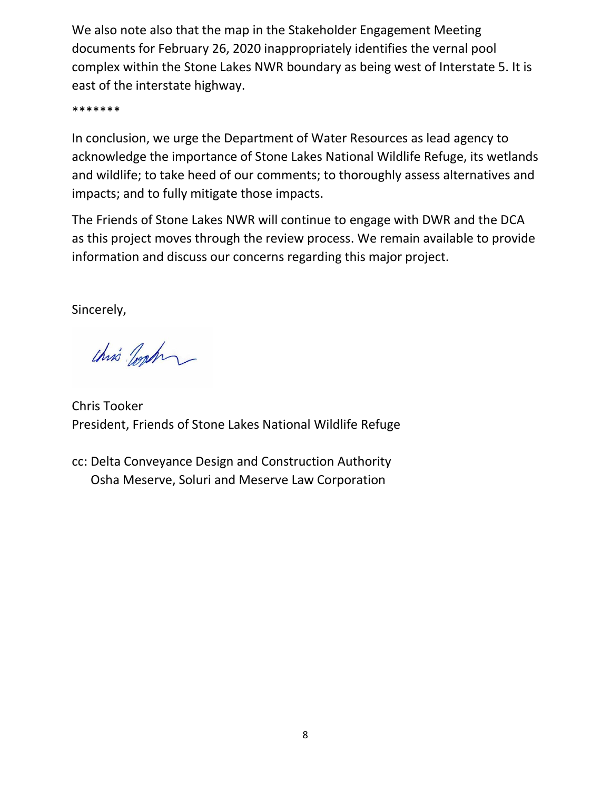We also note also that the map in the Stakeholder Engagement Meeting documents for February 26, 2020 inappropriately identifies the vernal pool complex within the Stone Lakes NWR boundary as being west of Interstate 5. It is east of the interstate highway.

\*\*\*\*\*\*\*

In conclusion, we urge the Department of Water Resources as lead agency to acknowledge the importance of Stone Lakes National Wildlife Refuge, its wetlands and wildlife; to take heed of our comments; to thoroughly assess alternatives and impacts; and to fully mitigate those impacts.

The Friends of Stone Lakes NWR will continue to engage with DWR and the DCA as this project moves through the review process. We remain available to provide information and discuss our concerns regarding this major project.

Sincerely,

chris Josh

Chris Tooker President, Friends of Stone Lakes National Wildlife Refuge

cc: Delta Conveyance Design and Construction Authority Osha Meserve, Soluri and Meserve Law Corporation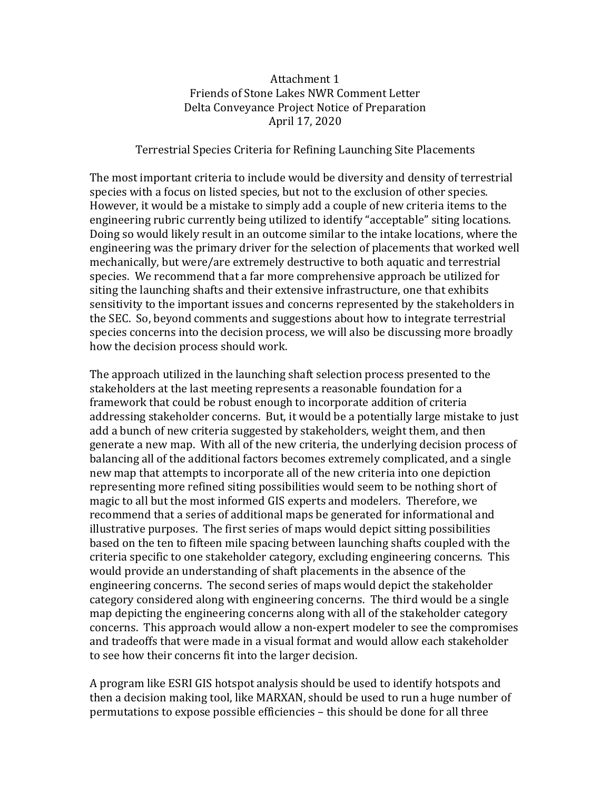#### Attachment 1 Friends of Stone Lakes NWR Comment Letter Delta Conveyance Project Notice of Preparation April 17, 2020

#### Terrestrial Species Criteria for Refining Launching Site Placements

The most important criteria to include would be diversity and density of terrestrial species with a focus on listed species, but not to the exclusion of other species. However, it would be a mistake to simply add a couple of new criteria items to the engineering rubric currently being utilized to identify "acceptable" siting locations. Doing so would likely result in an outcome similar to the intake locations, where the engineering was the primary driver for the selection of placements that worked well mechanically, but were/are extremely destructive to both aquatic and terrestrial species. We recommend that a far more comprehensive approach be utilized for siting the launching shafts and their extensive infrastructure, one that exhibits sensitivity to the important issues and concerns represented by the stakeholders in the SEC. So, beyond comments and suggestions about how to integrate terrestrial species concerns into the decision process, we will also be discussing more broadly how the decision process should work.

The approach utilized in the launching shaft selection process presented to the stakeholders at the last meeting represents a reasonable foundation for a framework that could be robust enough to incorporate addition of criteria addressing stakeholder concerns. But, it would be a potentially large mistake to just add a bunch of new criteria suggested by stakeholders, weight them, and then generate a new map. With all of the new criteria, the underlying decision process of balancing all of the additional factors becomes extremely complicated, and a single new map that attempts to incorporate all of the new criteria into one depiction representing more refined siting possibilities would seem to be nothing short of magic to all but the most informed GIS experts and modelers. Therefore, we recommend that a series of additional maps be generated for informational and illustrative purposes. The first series of maps would depict sitting possibilities based on the ten to fifteen mile spacing between launching shafts coupled with the criteria specific to one stakeholder category, excluding engineering concerns. This would provide an understanding of shaft placements in the absence of the engineering concerns. The second series of maps would depict the stakeholder category considered along with engineering concerns. The third would be a single map depicting the engineering concerns along with all of the stakeholder category concerns. This approach would allow a non-expert modeler to see the compromises and tradeoffs that were made in a visual format and would allow each stakeholder to see how their concerns fit into the larger decision.

A program like ESRI GIS hotspot analysis should be used to identify hotspots and then a decision making tool, like MARXAN, should be used to run a huge number of permutations to expose possible efficiencies – this should be done for all three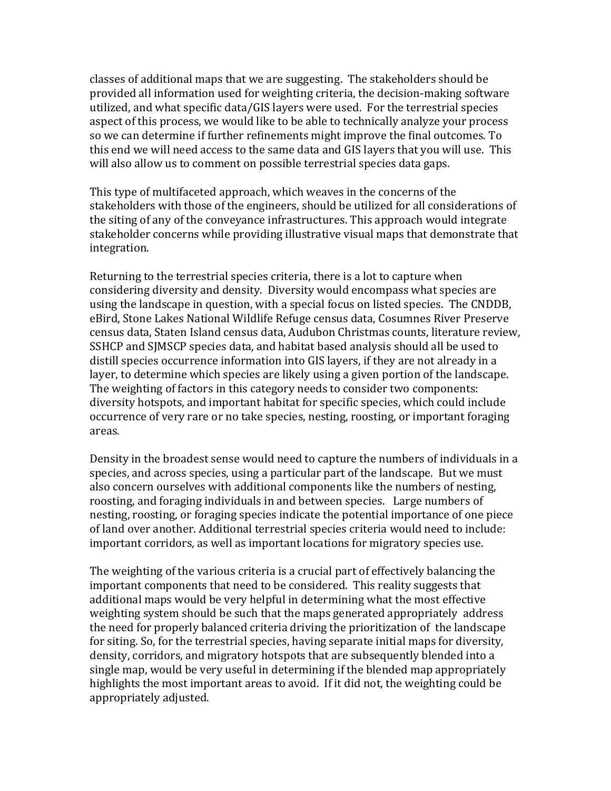classes of additional maps that we are suggesting. The stakeholders should be provided all information used for weighting criteria, the decision-making software utilized, and what specific data/GIS layers were used. For the terrestrial species aspect of this process, we would like to be able to technically analyze your process so we can determine if further refinements might improve the final outcomes. To this end we will need access to the same data and GIS layers that you will use. This will also allow us to comment on possible terrestrial species data gaps.

This type of multifaceted approach, which weaves in the concerns of the stakeholders with those of the engineers, should be utilized for all considerations of the siting of any of the conveyance infrastructures. This approach would integrate stakeholder concerns while providing illustrative visual maps that demonstrate that integration.

Returning to the terrestrial species criteria, there is a lot to capture when considering diversity and density. Diversity would encompass what species are using the landscape in question, with a special focus on listed species. The CNDDB, eBird, Stone Lakes National Wildlife Refuge census data, Cosumnes River Preserve census data, Staten Island census data, Audubon Christmas counts, literature review, SSHCP and SJMSCP species data, and habitat based analysis should all be used to distill species occurrence information into GIS layers, if they are not already in a layer, to determine which species are likely using a given portion of the landscape. The weighting of factors in this category needs to consider two components: diversity hotspots, and important habitat for specific species, which could include occurrence of very rare or no take species, nesting, roosting, or important foraging areas.

Density in the broadest sense would need to capture the numbers of individuals in a species, and across species, using a particular part of the landscape. But we must also concern ourselves with additional components like the numbers of nesting, roosting, and foraging individuals in and between species. Large numbers of nesting, roosting, or foraging species indicate the potential importance of one piece of land over another. Additional terrestrial species criteria would need to include: important corridors, as well as important locations for migratory species use.

The weighting of the various criteria is a crucial part of effectively balancing the important components that need to be considered. This reality suggests that additional maps would be very helpful in determining what the most effective weighting system should be such that the maps generated appropriately address the need for properly balanced criteria driving the prioritization of the landscape for siting. So, for the terrestrial species, having separate initial maps for diversity, density, corridors, and migratory hotspots that are subsequently blended into a single map, would be very useful in determining if the blended map appropriately highlights the most important areas to avoid. If it did not, the weighting could be appropriately adjusted.